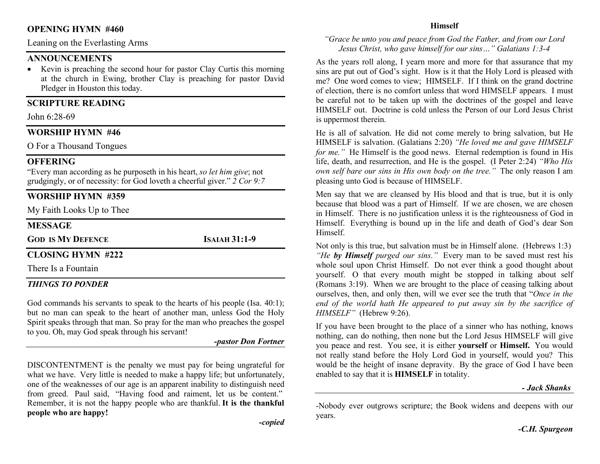#### OPENING HYMN #460

Leaning on the Everlasting Arms

### **ANNOUNCEMENTS**

• Kevin is preaching the second hour for pastor Clay Curtis this morning at the church in Ewing, brother Clay is preaching for pastor David Pledger in Houston this today.

#### SCRIPTURE READING

John 6:28-69

#### WORSHIP HYMN #46

O For a Thousand Tongues

#### **OFFERING**

"Every man according as he purposeth in his heart, so let him give; not grudgingly, or of necessity: for God loveth a cheerful giver." 2 Cor 9:7

# WORSHIP HYMN #359

My Faith Looks Up to Thee

#### **MESSAGE**

GOD IS MY DEFENCE ISAIAH 31:1-9

#### CLOSING HYMN #222

There Is a Fountain

#### THINGS TO PONDER

God commands his servants to speak to the hearts of his people (Isa. 40:1); but no man can speak to the heart of another man, unless God the Holy Spirit speaks through that man. So pray for the man who preaches the gospel to you. Oh, may God speak through his servant!

#### -pastor Don Fortner

DISCONTENTMENT is the penalty we must pay for being ungrateful for what we have. Very little is needed to make a happy life; but unfortunately, one of the weaknesses of our age is an apparent inability to distinguish need from greed. Paul said, "Having food and raiment, let us be content." Remember, it is not the happy people who are thankful. It is the thankful people who are happy!

#### Himself

#### "Grace be unto you and peace from God the Father, and from our Lord Jesus Christ, who gave himself for our sins…" Galatians 1:3-4

As the years roll along, I yearn more and more for that assurance that my sins are put out of God's sight. How is it that the Holy Lord is pleased with me? One word comes to view; HIMSELF. If I think on the grand doctrine of election, there is no comfort unless that word HIMSELF appears. I must be careful not to be taken up with the doctrines of the gospel and leave HIMSELF out. Doctrine is cold unless the Person of our Lord Jesus Christ is uppermost therein.

He is all of salvation. He did not come merely to bring salvation, but He HIMSELF is salvation. (Galatians 2:20) "He loved me and gave HIMSELF for me." He Himself is the good news. Eternal redemption is found in His life, death, and resurrection, and He is the gospel. (I Peter 2:24) "Who His own self bare our sins in His own body on the tree." The only reason I am pleasing unto God is because of HIMSELF.

Men say that we are cleansed by His blood and that is true, but it is only because that blood was a part of Himself. If we are chosen, we are chosen in Himself. There is no justification unless it is the righteousness of God in Himself. Everything is bound up in the life and death of God's dear Son Himself.

Not only is this true, but salvation must be in Himself alone. (Hebrews 1:3) "He by Himself purged our sins." Every man to be saved must rest his whole soul upon Christ Himself. Do not ever think a good thought about yourself. O that every mouth might be stopped in talking about self (Romans 3:19). When we are brought to the place of ceasing talking about ourselves, then, and only then, will we ever see the truth that "Once in the end of the world hath He appeared to put away sin by the sacrifice of HIMSELF" (Hebrew 9:26).

If you have been brought to the place of a sinner who has nothing, knows nothing, can do nothing, then none but the Lord Jesus HIMSELF will give you peace and rest. You see, it is either yourself or Himself. You would not really stand before the Holy Lord God in yourself, would you? This would be the height of insane depravity. By the grace of God I have been enabled to say that it is HIMSELF in totality.

#### - Jack Shanks

-Nobody ever outgrows scripture; the Book widens and deepens with our years.